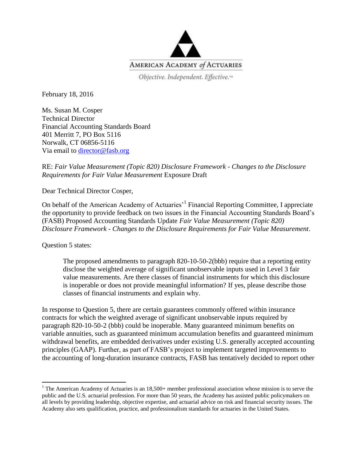

Objective. Independent. Effective.<sup>14</sup>

February 18, 2016

Ms. Susan M. Cosper Technical Director Financial Accounting Standards Board 401 Merritt 7, PO Box 5116 Norwalk, CT 06856-5116 Via email to [director@fasb.org](mailto:director@fasb.org)

## RE: *Fair Value Measurement (Topic 820) Disclosure Framework - Changes to the Disclosure Requirements for Fair Value Measurement* Exposure Draft

Dear Technical Director Cosper,

On behalf of the American Academy of Actuaries<sup>, 1</sup> Financial Reporting Committee, I appreciate the opportunity to provide feedback on two issues in the Financial Accounting Standards Board's (FASB) Proposed Accounting Standards Update *Fair Value Measurement (Topic 820) Disclosure Framework - Changes to the Disclosure Requirements for Fair Value Measurement*.

Question 5 states:

 $\overline{\phantom{a}}$ 

The proposed amendments to paragraph 820-10-50-2(bbb) require that a reporting entity disclose the weighted average of significant unobservable inputs used in Level 3 fair value measurements. Are there classes of financial instruments for which this disclosure is inoperable or does not provide meaningful information? If yes, please describe those classes of financial instruments and explain why.

In response to Question 5, there are certain guarantees commonly offered within insurance contracts for which the weighted average of significant unobservable inputs required by paragraph 820-10-50-2 (bbb) could be inoperable. Many guaranteed minimum benefits on variable annuities, such as guaranteed minimum accumulation benefits and guaranteed minimum withdrawal benefits, are embedded derivatives under existing U.S. generally accepted accounting principles (GAAP). Further, as part of FASB's project to implement targeted improvements to the accounting of long-duration insurance contracts, FASB has tentatively decided to report other

<sup>&</sup>lt;sup>1</sup> The American Academy of Actuaries is an  $18,500+$  member professional association whose mission is to serve the public and the U.S. actuarial profession. For more than 50 years, the Academy has assisted public policymakers on all levels by providing leadership, objective expertise, and actuarial advice on risk and financial security issues. The Academy also sets qualification, practice, and professionalism standards for actuaries in the United States.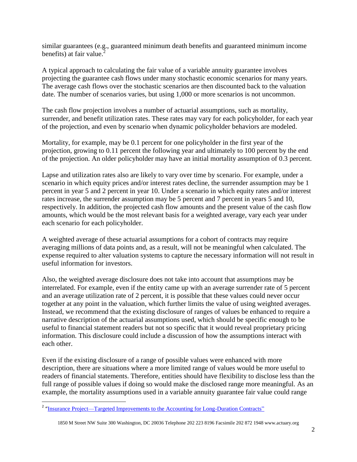similar guarantees (e.g., guaranteed minimum death benefits and guaranteed minimum income benefits) at fair value.

A typical approach to calculating the fair value of a variable annuity guarantee involves projecting the guarantee cash flows under many stochastic economic scenarios for many years. The average cash flows over the stochastic scenarios are then discounted back to the valuation date. The number of scenarios varies, but using 1,000 or more scenarios is not uncommon.

The cash flow projection involves a number of actuarial assumptions, such as mortality, surrender, and benefit utilization rates. These rates may vary for each policyholder, for each year of the projection, and even by scenario when dynamic policyholder behaviors are modeled.

Mortality, for example, may be 0.1 percent for one policyholder in the first year of the projection, growing to 0.11 percent the following year and ultimately to 100 percent by the end of the projection. An older policyholder may have an initial mortality assumption of 0.3 percent.

Lapse and utilization rates also are likely to vary over time by scenario. For example, under a scenario in which equity prices and/or interest rates decline, the surrender assumption may be 1 percent in year 5 and 2 percent in year 10. Under a scenario in which equity rates and/or interest rates increase, the surrender assumption may be 5 percent and 7 percent in years 5 and 10, respectively. In addition, the projected cash flow amounts and the present value of the cash flow amounts, which would be the most relevant basis for a weighted average, vary each year under each scenario for each policyholder.

A weighted average of these actuarial assumptions for a cohort of contracts may require averaging millions of data points and, as a result, will not be meaningful when calculated. The expense required to alter valuation systems to capture the necessary information will not result in useful information for investors.

Also, the weighted average disclosure does not take into account that assumptions may be interrelated. For example, even if the entity came up with an average surrender rate of 5 percent and an average utilization rate of 2 percent, it is possible that these values could never occur together at any point in the valuation, which further limits the value of using weighted averages. Instead, we recommend that the existing disclosure of ranges of values be enhanced to require a narrative description of the actuarial assumptions used, which should be specific enough to be useful to financial statement readers but not so specific that it would reveal proprietary pricing information. This disclosure could include a discussion of how the assumptions interact with each other.

Even if the existing disclosure of a range of possible values were enhanced with more description, there are situations where a more limited range of values would be more useful to readers of financial statements. Therefore, entities should have flexibility to disclose less than the full range of possible values if doing so would make the disclosed range more meaningful. As an example, the mortality assumptions used in a variable annuity guarantee fair value could range

<sup>&</sup>lt;sup>2</sup> "Insurance [Project—Targeted Improvements to the Accounting for Long-Duration Contracts"](http://www.fasb.org/cs/ContentServer?c=Document_C&pagename=FASB%2FDocument_C%2FDocumentPage&cid=1176164382615)